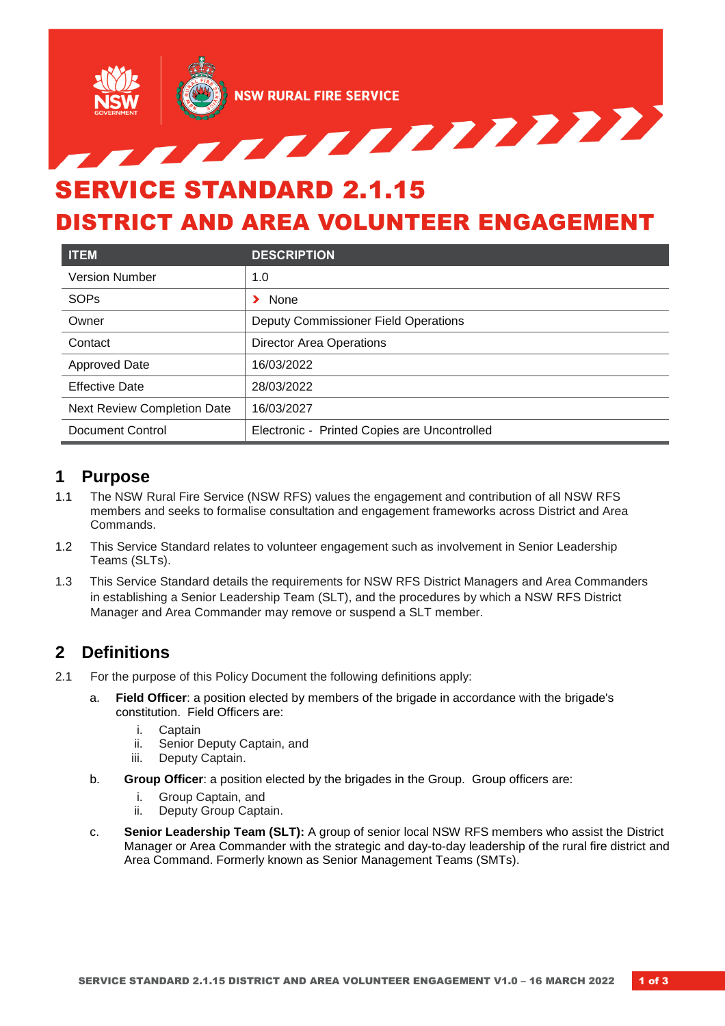

# DISTRICT AND AREA VOLUNTEER ENGAGEMENT

| <b>ITEM</b>                        | <b>DESCRIPTION</b>                           |
|------------------------------------|----------------------------------------------|
| <b>Version Number</b>              | 1.0                                          |
| <b>SOPs</b>                        | None                                         |
| Owner                              | Deputy Commissioner Field Operations         |
| Contact                            | <b>Director Area Operations</b>              |
| <b>Approved Date</b>               | 16/03/2022                                   |
| <b>Effective Date</b>              | 28/03/2022                                   |
| <b>Next Review Completion Date</b> | 16/03/2027                                   |
| Document Control                   | Electronic - Printed Copies are Uncontrolled |

# **1 Purpose**

- 1.1 The NSW Rural Fire Service (NSW RFS) values the engagement and contribution of all NSW RFS members and seeks to formalise consultation and engagement frameworks across District and Area Commands.
- 1.2 This Service Standard relates to volunteer engagement such as involvement in Senior Leadership Teams (SLTs).
- 1.3 This Service Standard details the requirements for NSW RFS District Managers and Area Commanders in establishing a Senior Leadership Team (SLT), and the procedures by which a NSW RFS District Manager and Area Commander may remove or suspend a SLT member.

# **2 Definitions**

- 2.1 For the purpose of this Policy Document the following definitions apply:
	- a. **Field Officer**: a position elected by members of the brigade in accordance with the brigade's constitution. Field Officers are:
		- i. Captain
		- ii. Senior Deputy Captain, and
		- iii. Deputy Captain.
	- b. **Group Officer**: a position elected by the brigades in the Group. Group officers are:
		- i. Group Captain, and
		- ii. Deputy Group Captain.
	- c. **Senior Leadership Team (SLT):** A group of senior local NSW RFS members who assist the District Manager or Area Commander with the strategic and day-to-day leadership of the rural fire district and Area Command. Formerly known as Senior Management Teams (SMTs).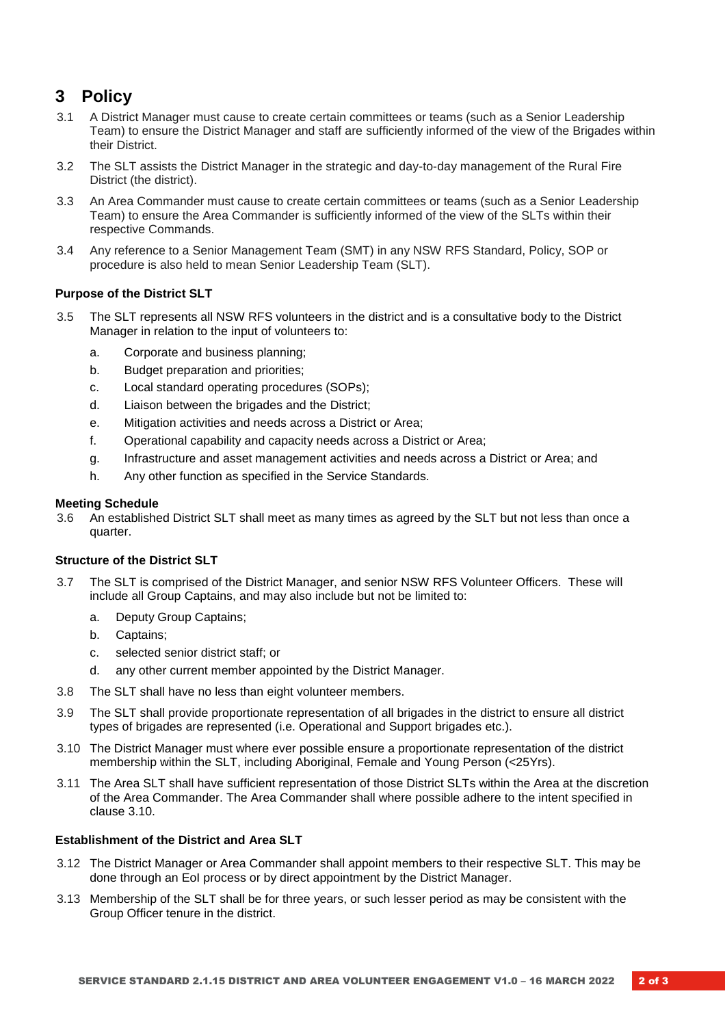# **3 Policy**

- 3.1 A District Manager must cause to create certain committees or teams (such as a Senior Leadership Team) to ensure the District Manager and staff are sufficiently informed of the view of the Brigades within their District.
- 3.2 The SLT assists the District Manager in the strategic and day-to-day management of the Rural Fire District (the district).
- 3.3 An Area Commander must cause to create certain committees or teams (such as a Senior Leadership Team) to ensure the Area Commander is sufficiently informed of the view of the SLTs within their respective Commands.
- 3.4 Any reference to a Senior Management Team (SMT) in any NSW RFS Standard, Policy, SOP or procedure is also held to mean Senior Leadership Team (SLT).

#### **Purpose of the District SLT**

- 3.5 The SLT represents all NSW RFS volunteers in the district and is a consultative body to the District Manager in relation to the input of volunteers to:
	- a. Corporate and business planning;
	- b. Budget preparation and priorities;
	- c. Local standard operating procedures (SOPs);
	- d. Liaison between the brigades and the District;
	- e. Mitigation activities and needs across a District or Area;
	- f. Operational capability and capacity needs across a District or Area;
	- g. Infrastructure and asset management activities and needs across a District or Area; and
	- h. Any other function as specified in the Service Standards.

#### **Meeting Schedule**

3.6 An established District SLT shall meet as many times as agreed by the SLT but not less than once a quarter.

#### **Structure of the District SLT**

- 3.7 The SLT is comprised of the District Manager, and senior NSW RFS Volunteer Officers. These will include all Group Captains, and may also include but not be limited to:
	- a. Deputy Group Captains;
	- b. Captains;
	- c. selected senior district staff; or
	- d. any other current member appointed by the District Manager.
- 3.8 The SLT shall have no less than eight volunteer members.
- 3.9 The SLT shall provide proportionate representation of all brigades in the district to ensure all district types of brigades are represented (i.e. Operational and Support brigades etc.).
- 3.10 The District Manager must where ever possible ensure a proportionate representation of the district membership within the SLT, including Aboriginal, Female and Young Person (<25Yrs).
- 3.11 The Area SLT shall have sufficient representation of those District SLTs within the Area at the discretion of the Area Commander. The Area Commander shall where possible adhere to the intent specified in clause 3.10.

#### **Establishment of the District and Area SLT**

- 3.12 The District Manager or Area Commander shall appoint members to their respective SLT. This may be done through an EoI process or by direct appointment by the District Manager.
- 3.13 Membership of the SLT shall be for three years, or such lesser period as may be consistent with the Group Officer tenure in the district.